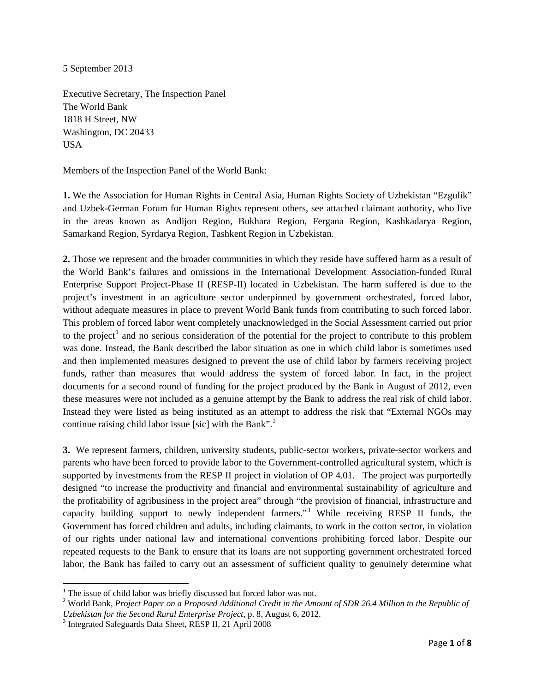5 September 2013

Executive Secretary, The Inspection Panel The World Bank 1818 H Street, NW Washington, DC 20433 USA

Members of the Inspection Panel of the World Bank:

**1.** We the Association for Human Rights in Central Asia, Human Rights Society of Uzbekistan "Ezgulik" and Uzbek-German Forum for Human Rights represent others, see attached claimant authority, who live in the areas known as Andijon Region, Bukhara Region, Fergana Region, Kashkadarya Region, Samarkand Region, Syrdarya Region, Tashkent Region in Uzbekistan.

**2.** Those we represent and the broader communities in which they reside have suffered harm as a result of the World Bank's failures and omissions in the International Development Association-funded Rural Enterprise Support Project-Phase II (RESP-II) located in Uzbekistan. The harm suffered is due to the project's investment in an agriculture sector underpinned by government orchestrated, forced labor, without adequate measures in place to prevent World Bank funds from contributing to such forced labor. This problem of forced labor went completely unacknowledged in the Social Assessment carried out prior to the project<sup>[1](#page-0-0)</sup> and no serious consideration of the potential for the project to contribute to this problem was done. Instead, the Bank described the labor situation as one in which child labor is sometimes used and then implemented measures designed to prevent the use of child labor by farmers receiving project funds, rather than measures that would address the system of forced labor. In fact, in the project documents for a second round of funding for the project produced by the Bank in August of 2012, even these measures were not included as a genuine attempt by the Bank to address the real risk of child labor. Instead they were listed as being instituted as an attempt to address the risk that "External NGOs may continue raising child labor issue [sic] with the Bank".<sup>[2](#page-0-1)</sup>

**3.** We represent farmers, children, university students, public-sector workers, private-sector workers and parents who have been forced to provide labor to the Government-controlled agricultural system, which is supported by investments from the RESP II project in violation of OP 4.01. The project was purportedly designed "to increase the productivity and financial and environmental sustainability of agriculture and the profitability of agribusiness in the project area" through "the provision of financial, infrastructure and capacity building support to newly independent farmers."[3](#page-0-2) While receiving RESP II funds, the Government has forced children and adults, including claimants, to work in the cotton sector, in violation of our rights under national law and international conventions prohibiting forced labor. Despite our repeated requests to the Bank to ensure that its loans are not supporting government orchestrated forced labor, the Bank has failed to carry out an assessment of sufficient quality to genuinely determine what

 $\overline{\phantom{a}}$ 

 $1$ <sup>1</sup> The issue of child labor was briefly discussed but forced labor was not.

<span id="page-0-1"></span><span id="page-0-0"></span><sup>2</sup> World Bank, *Project Paper on a Proposed Additional Credit in the Amount of SDR 26.4 Million to the Republic of Uzbekistan for the Second Rural Enterprise Project*, p. 8, August 6, 2012.<br><sup>3</sup> Integrated Safeguards Data Sheet, RESP II, 21 April 2008

<span id="page-0-2"></span>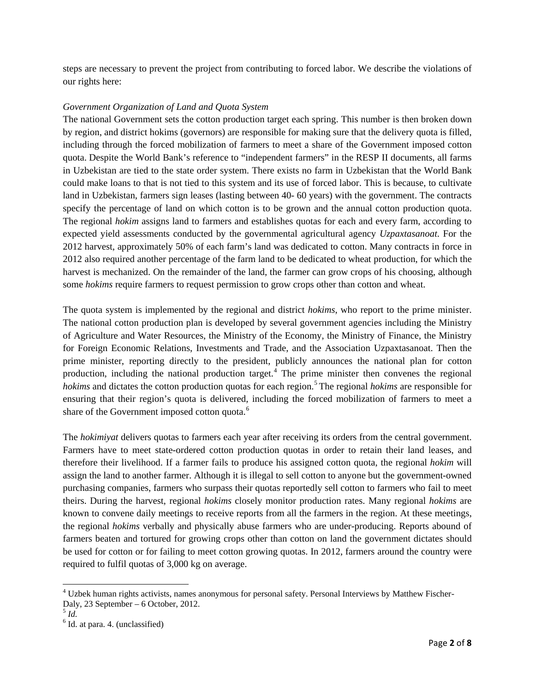steps are necessary to prevent the project from contributing to forced labor. We describe the violations of our rights here:

## *Government Organization of Land and Quota System*

The national Government sets the cotton production target each spring. This number is then broken down by region, and district hokims (governors) are responsible for making sure that the delivery quota is filled, including through the forced mobilization of farmers to meet a share of the Government imposed cotton quota. Despite the World Bank's reference to "independent farmers" in the RESP II documents, all farms in Uzbekistan are tied to the state order system. There exists no farm in Uzbekistan that the World Bank could make loans to that is not tied to this system and its use of forced labor. This is because, to cultivate land in Uzbekistan, farmers sign leases (lasting between 40- 60 years) with the government. The contracts specify the percentage of land on which cotton is to be grown and the annual cotton production quota. The regional *hokim* assigns land to farmers and establishes quotas for each and every farm, according to expected yield assessments conducted by the governmental agricultural agency *Uzpaxtasanoat*. For the 2012 harvest, approximately 50% of each farm's land was dedicated to cotton. Many contracts in force in 2012 also required another percentage of the farm land to be dedicated to wheat production, for which the harvest is mechanized. On the remainder of the land, the farmer can grow crops of his choosing, although some *hokims* require farmers to request permission to grow crops other than cotton and wheat.

The quota system is implemented by the regional and district *hokims*, who report to the prime minister. The national cotton production plan is developed by several government agencies including the Ministry of Agriculture and Water Resources, the Ministry of the Economy, the Ministry of Finance, the Ministry for Foreign Economic Relations, Investments and Trade, and the Association Uzpaxtasanoat. Then the prime minister, reporting directly to the president, publicly announces the national plan for cotton production, including the national production target.<sup>[4](#page-1-0)</sup> The prime minister then convenes the regional *hokims* and dictates the cotton production quotas for each region.[5](#page-1-1) The regional *hokims* are responsible for ensuring that their region's quota is delivered, including the forced mobilization of farmers to meet a share of the Government imposed cotton quota.<sup>[6](#page-1-2)</sup>

The *hokimiyat* delivers quotas to farmers each year after receiving its orders from the central government. Farmers have to meet state-ordered cotton production quotas in order to retain their land leases, and therefore their livelihood. If a farmer fails to produce his assigned cotton quota, the regional *hokim* will assign the land to another farmer. Although it is illegal to sell cotton to anyone but the government-owned purchasing companies, farmers who surpass their quotas reportedly sell cotton to farmers who fail to meet theirs. During the harvest, regional *hokims* closely monitor production rates. Many regional *hokims* are known to convene daily meetings to receive reports from all the farmers in the region. At these meetings, the regional *hokims* verbally and physically abuse farmers who are under-producing. Reports abound of farmers beaten and tortured for growing crops other than cotton on land the government dictates should be used for cotton or for failing to meet cotton growing quotas. In 2012, farmers around the country were required to fulfil quotas of 3,000 kg on average.

 $\overline{\phantom{a}}$ 

<span id="page-1-0"></span><sup>4</sup> Uzbek human rights activists, names anonymous for personal safety. Personal Interviews by Matthew Fischer-Daly, 23 September – 6 October, 2012. <sup>5</sup> *Id.*

<span id="page-1-1"></span>

<span id="page-1-2"></span> $<sup>6</sup>$  Id. at para. 4. (unclassified)</sup>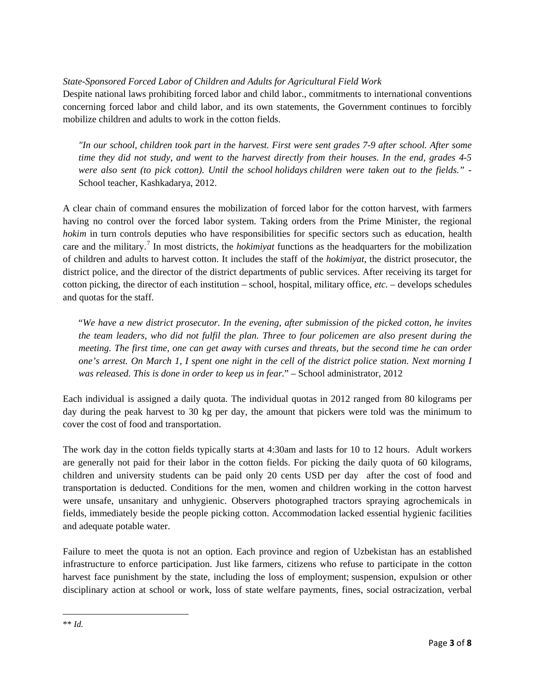*State-Sponsored Forced Labor of Children and Adults for Agricultural Field Work*

Despite national laws prohibiting forced labor and child labor., commitments to international conventions concerning forced labor and child labor, and its own statements, the Government continues to forcibly mobilize children and adults to work in the cotton fields.

*"In our school, children took part in the harvest. First were sent grades 7-9 after school. After some time they did not study, and went to the harvest directly from their houses. In the end, grades 4-5 were also sent (to pick cotton). Until the school holidays children were taken out to the fields."* - School teacher, Kashkadarya, 2012.

A clear chain of command ensures the mobilization of forced labor for the cotton harvest, with farmers having no control over the forced labor system. Taking orders from the Prime Minister, the regional *hokim* in turn controls deputies who have responsibilities for specific sectors such as education, health care and the military.[7](#page-2-0) In most districts, the *hokimiyat* functions as the headquarters for the mobilization of children and adults to harvest cotton. It includes the staff of the *hokimiyat*, the district prosecutor, the district police, and the director of the district departments of public services. After receiving its target for cotton picking, the director of each institution – school, hospital, military office, *etc.* – develops schedules and quotas for the staff.

"*We have a new district prosecutor. In the evening, after submission of the picked cotton, he invites the team leaders, who did not fulfil the plan. Three to four policemen are also present during the meeting. The first time, one can get away with curses and threats, but the second time he can order one's arrest. On March 1, I spent one night in the cell of the district police station. Next morning I was released. This is done in order to keep us in fear.*" – School administrator, 2012

Each individual is assigned a daily quota. The individual quotas in 2012 ranged from 80 kilograms per day during the peak harvest to 30 kg per day, the amount that pickers were told was the minimum to cover the cost of food and transportation.

The work day in the cotton fields typically starts at 4:30am and lasts for 10 to 12 hours. Adult workers are generally not paid for their labor in the cotton fields. For picking the daily quota of 60 kilograms, children and university students can be paid only 20 cents USD per day after the cost of food and transportation is deducted. Conditions for the men, women and children working in the cotton harvest were unsafe, unsanitary and unhygienic. Observers photographed tractors spraying agrochemicals in fields, immediately beside the people picking cotton. Accommodation lacked essential hygienic facilities and adequate potable water.

<span id="page-2-0"></span>Failure to meet the quota is not an option. Each province and region of Uzbekistan has an established infrastructure to enforce participation. Just like farmers, citizens who refuse to participate in the cotton harvest face punishment by the state, including the loss of employment; suspension, expulsion or other disciplinary action at school or work, loss of state welfare payments, fines, social ostracization, verbal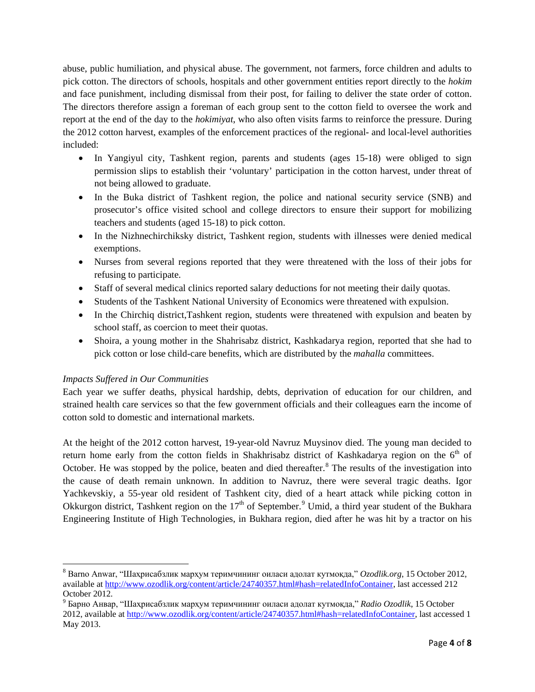abuse, public humiliation, and physical abuse. The government, not farmers, force children and adults to pick cotton. The directors of schools, hospitals and other government entities report directly to the *hokim* and face punishment, including dismissal from their post, for failing to deliver the state order of cotton. The directors therefore assign a foreman of each group sent to the cotton field to oversee the work and report at the end of the day to the *hokimiyat*, who also often visits farms to reinforce the pressure. During the 2012 cotton harvest, examples of the enforcement practices of the regional- and local-level authorities included:

- In Yangiyul city, Tashkent region, parents and students (ages 15-18) were obliged to sign permission slips to establish their 'voluntary' participation in the cotton harvest, under threat of not being allowed to graduate.
- In the Buka district of Tashkent region, the police and national security service (SNB) and prosecutor's office visited school and college directors to ensure their support for mobilizing teachers and students (aged 15-18) to pick cotton.
- In the Nizhnechirchiksky district, Tashkent region, students with illnesses were denied medical exemptions.
- Nurses from several regions reported that they were threatened with the loss of their jobs for refusing to participate.
- Staff of several medical clinics reported salary deductions for not meeting their daily quotas.
- Students of the Tashkent National University of Economics were threatened with expulsion.
- In the Chirchiq district, Tashkent region, students were threatened with expulsion and beaten by school staff, as coercion to meet their quotas.
- Shoira, a young mother in the Shahrisabz district, Kashkadarya region, reported that she had to pick cotton or lose child-care benefits, which are distributed by the *mahalla* committees.

## *Impacts Suffered in Our Communities*

Each year we suffer deaths, physical hardship, debts, deprivation of education for our children, and strained health care services so that the few government officials and their colleagues earn the income of cotton sold to domestic and international markets.

At the height of the 2012 cotton harvest, 19-year-old Navruz Muysinov died. The young man decided to return home early from the cotton fields in Shakhrisabz district of Kashkadarya region on the  $6<sup>th</sup>$  of October. He was stopped by the police, beaten and died thereafter.<sup>[8](#page-3-0)</sup> The results of the investigation into the cause of death remain unknown. In addition to Navruz, there were several tragic deaths. Igor Yachkevskiy, a 55-year old resident of Tashkent city, died of a heart attack while picking cotton in Okkurgon district, Tashkent region on the  $17<sup>th</sup>$  of September.<sup>[9](#page-3-1)</sup> Umid, a third year student of the Bukhara Engineering Institute of High Technologies, in Bukhara region, died after he was hit by a tractor on his

<span id="page-3-0"></span>l <sup>8</sup> Barno Anwar, "Шаҳрисабзлик марҳум теримчининг оиласи адолат кутмоқда," *Ozodlik.org*, 15 October 2012, available at [http://www.ozodlik.org/content/article/24740357.html#hash=relatedInfoContainer,](http://www.ozodlik.org/content/article/24740357.html#hash=relatedInfoContainer) last accessed 212 October 2012.

<span id="page-3-1"></span><sup>9</sup> Барно Анвар, "Шаҳрисабзлик марҳум теримчининг оиласи адолат кутмоқда," *Radio Ozodlik*, 15 October 2012, available at [http://www.ozodlik.org/content/article/24740357.html#hash=relatedInfoContainer,](http://www.ozodlik.org/content/article/24740357.html#hash=relatedInfoContainer) last accessed 1 May 2013.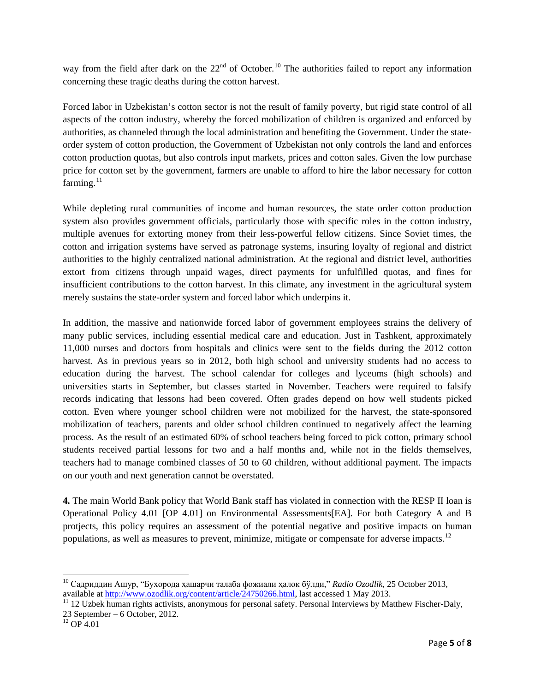way from the field after dark on the 22<sup>nd</sup> of October.<sup>[10](#page-4-0)</sup> The authorities failed to report any information concerning these tragic deaths during the cotton harvest.

Forced labor in Uzbekistan's cotton sector is not the result of family poverty, but rigid state control of all aspects of the cotton industry, whereby the forced mobilization of children is organized and enforced by authorities, as channeled through the local administration and benefiting the Government. Under the stateorder system of cotton production, the Government of Uzbekistan not only controls the land and enforces cotton production quotas, but also controls input markets, prices and cotton sales. Given the low purchase price for cotton set by the government, farmers are unable to afford to hire the labor necessary for cotton farming.<sup>[11](#page-4-1)</sup>

While depleting rural communities of income and human resources, the state order cotton production system also provides government officials, particularly those with specific roles in the cotton industry, multiple avenues for extorting money from their less-powerful fellow citizens. Since Soviet times, the cotton and irrigation systems have served as patronage systems, insuring loyalty of regional and district authorities to the highly centralized national administration. At the regional and district level, authorities extort from citizens through unpaid wages, direct payments for unfulfilled quotas, and fines for insufficient contributions to the cotton harvest. In this climate, any investment in the agricultural system merely sustains the state-order system and forced labor which underpins it.

In addition, the massive and nationwide forced labor of government employees strains the delivery of many public services, including essential medical care and education. Just in Tashkent, approximately 11,000 nurses and doctors from hospitals and clinics were sent to the fields during the 2012 cotton harvest. As in previous years so in 2012, both high school and university students had no access to education during the harvest. The school calendar for colleges and lyceums (high schools) and universities starts in September, but classes started in November. Teachers were required to falsify records indicating that lessons had been covered. Often grades depend on how well students picked cotton. Even where younger school children were not mobilized for the harvest, the state-sponsored mobilization of teachers, parents and older school children continued to negatively affect the learning process. As the result of an estimated 60% of school teachers being forced to pick cotton, primary school students received partial lessons for two and a half months and, while not in the fields themselves, teachers had to manage combined classes of 50 to 60 children, without additional payment. The impacts on our youth and next generation cannot be overstated.

**4.** The main World Bank policy that World Bank staff has violated in connection with the RESP II loan is Operational Policy 4.01 [OP 4.01] on Environmental Assessments[EA]. For both Category A and B protjects, this policy requires an assessment of the potential negative and positive impacts on human populations, as well as measures to prevent, minimize, mitigate or compensate for adverse impacts.<sup>[12](#page-4-2)</sup>

 $\overline{\phantom{a}}$ 

<span id="page-4-0"></span><sup>&</sup>lt;sup>10</sup> Садриддин Ашур, "Бухорода ҳашарчи талаба фожиали ҳалок бўлди," *Radio Ozodlik*, 25 October 2013, available at http://www.ozodlik.org/content/article/24750266.html, last accessed 1 May 2013.

<span id="page-4-1"></span><sup>&</sup>lt;sup>11</sup> 12 Uzbek human rights activists, anonymous for personal safety. Personal Interviews by Matthew Fischer-Daly, 23 September – 6 October, 2012. <sup>12</sup> OP 4.01

<span id="page-4-2"></span>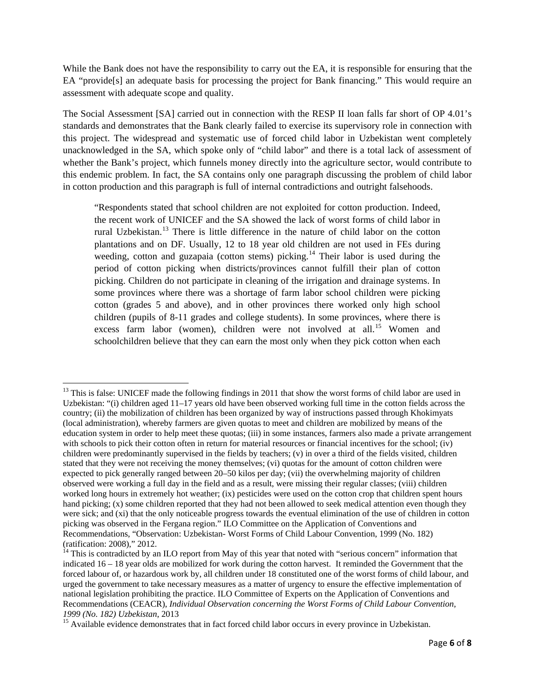While the Bank does not have the responsibility to carry out the EA, it is responsible for ensuring that the EA "provide[s] an adequate basis for processing the project for Bank financing." This would require an assessment with adequate scope and quality.

The Social Assessment [SA] carried out in connection with the RESP II loan falls far short of OP 4.01's standards and demonstrates that the Bank clearly failed to exercise its supervisory role in connection with this project. The widespread and systematic use of forced child labor in Uzbekistan went completely unacknowledged in the SA, which spoke only of "child labor" and there is a total lack of assessment of whether the Bank's project, which funnels money directly into the agriculture sector, would contribute to this endemic problem. In fact, the SA contains only one paragraph discussing the problem of child labor in cotton production and this paragraph is full of internal contradictions and outright falsehoods.

"Respondents stated that school children are not exploited for cotton production. Indeed, the recent work of UNICEF and the SA showed the lack of worst forms of child labor in rural Uzbekistan.<sup>[13](#page-5-0)</sup> There is little difference in the nature of child labor on the cotton plantations and on DF. Usually, 12 to 18 year old children are not used in FEs during weeding, cotton and guzapaia (cotton stems) picking.<sup>[14](#page-5-1)</sup> Their labor is used during the period of cotton picking when districts/provinces cannot fulfill their plan of cotton picking. Children do not participate in cleaning of the irrigation and drainage systems. In some provinces where there was a shortage of farm labor school children were picking cotton (grades 5 and above), and in other provinces there worked only high school children (pupils of 8-11 grades and college students). In some provinces, where there is excess farm labor (women), children were not involved at all.<sup>[15](#page-5-2)</sup> Women and schoolchildren believe that they can earn the most only when they pick cotton when each

<span id="page-5-0"></span>l <sup>13</sup> This is false: UNICEF made the following findings in 2011 that show the worst forms of child labor are used in Uzbekistan: "(i) children aged 11–17 years old have been observed working full time in the cotton fields across the country; (ii) the mobilization of children has been organized by way of instructions passed through Khokimyats (local administration), whereby farmers are given quotas to meet and children are mobilized by means of the education system in order to help meet these quotas; (iii) in some instances, farmers also made a private arrangement with schools to pick their cotton often in return for material resources or financial incentives for the school; (iv) children were predominantly supervised in the fields by teachers; (v) in over a third of the fields visited, children stated that they were not receiving the money themselves; (vi) quotas for the amount of cotton children were expected to pick generally ranged between 20–50 kilos per day; (vii) the overwhelming majority of children observed were working a full day in the field and as a result, were missing their regular classes; (viii) children worked long hours in extremely hot weather; (ix) pesticides were used on the cotton crop that children spent hours hand picking; (x) some children reported that they had not been allowed to seek medical attention even though they were sick; and (xi) that the only noticeable progress towards the eventual elimination of the use of children in cotton picking was observed in the Fergana region." ILO Committee on the Application of Conventions and Recommendations, "Observation: Uzbekistan- Worst Forms of Child Labour Convention, 1999 (No. 182) (ratification: 2008)," 2012.

<span id="page-5-1"></span> $14$  This is contradicted by an ILO report from May of this year that noted with "serious concern" information that indicated 16 – 18 year olds are mobilized for work during the cotton harvest. It reminded the Government that the forced labour of, or hazardous work by, all children under 18 constituted one of the worst forms of child labour, and urged the government to take necessary measures as a matter of urgency to ensure the effective implementation of national legislation prohibiting the practice. ILO Committee of Experts on the Application of Conventions and Recommendations (CEACR), *Individual Observation concerning the Worst Forms of Child Labour Convention, 1999 (No. 182) Uzbekistan*, 2013<br><sup>15</sup> Available evidence demonstrates that in fact forced child labor occurs in every province in Uzbekistan.

<span id="page-5-2"></span>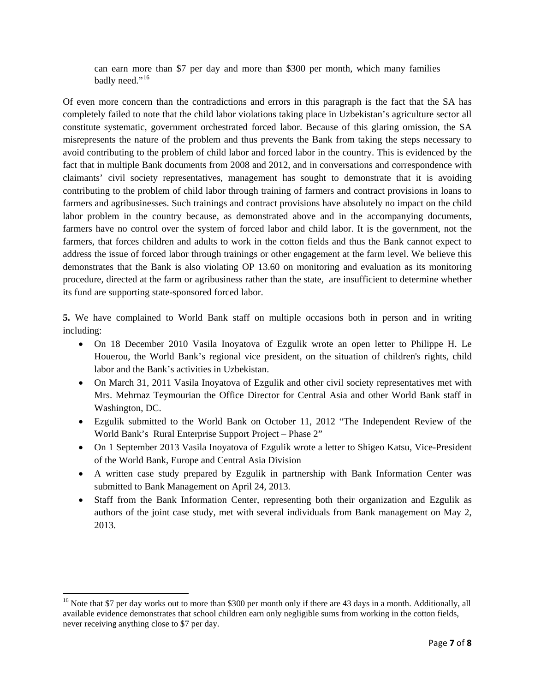can earn more than \$7 per day and more than \$300 per month, which many families badly need."<sup>[16](#page-6-0)</sup>

Of even more concern than the contradictions and errors in this paragraph is the fact that the SA has completely failed to note that the child labor violations taking place in Uzbekistan's agriculture sector all constitute systematic, government orchestrated forced labor. Because of this glaring omission, the SA misrepresents the nature of the problem and thus prevents the Bank from taking the steps necessary to avoid contributing to the problem of child labor and forced labor in the country. This is evidenced by the fact that in multiple Bank documents from 2008 and 2012, and in conversations and correspondence with claimants' civil society representatives, management has sought to demonstrate that it is avoiding contributing to the problem of child labor through training of farmers and contract provisions in loans to farmers and agribusinesses. Such trainings and contract provisions have absolutely no impact on the child labor problem in the country because, as demonstrated above and in the accompanying documents, farmers have no control over the system of forced labor and child labor. It is the government, not the farmers, that forces children and adults to work in the cotton fields and thus the Bank cannot expect to address the issue of forced labor through trainings or other engagement at the farm level. We believe this demonstrates that the Bank is also violating OP 13.60 on monitoring and evaluation as its monitoring procedure, directed at the farm or agribusiness rather than the state, are insufficient to determine whether its fund are supporting state-sponsored forced labor.

**5.** We have complained to World Bank staff on multiple occasions both in person and in writing including:

- On 18 December 2010 Vasila Inovatova of Ezgulik wrote an open letter to Philippe H. Le Houerou, the World Bank's regional vice president, on the situation of children's rights, child labor and the Bank's activities in Uzbekistan.
- On March 31, 2011 Vasila Inoyatova of Ezgulik and other civil society representatives met with Mrs. Mehrnaz Teymourian the Office Director for Central Asia and other World Bank staff in Washington, DC.
- Ezgulik submitted to the World Bank on October 11, 2012 "The Independent Review of the World Bank's Rural Enterprise Support Project – Phase 2"
- On 1 September 2013 Vasila Inovatova of Ezgulik wrote a letter to Shigeo Katsu, Vice-President of the World Bank, Europe and Central Asia Division
- A written case study prepared by Ezgulik in partnership with Bank Information Center was submitted to Bank Management on April 24, 2013.
- Staff from the Bank Information Center, representing both their organization and Ezgulik as authors of the joint case study, met with several individuals from Bank management on May 2, 2013.

l

<span id="page-6-0"></span><sup>&</sup>lt;sup>16</sup> Note that \$7 per day works out to more than \$300 per month only if there are 43 days in a month. Additionally, all available evidence demonstrates that school children earn only negligible sums from working in the cotton fields, never receiving anything close to \$7 per day.